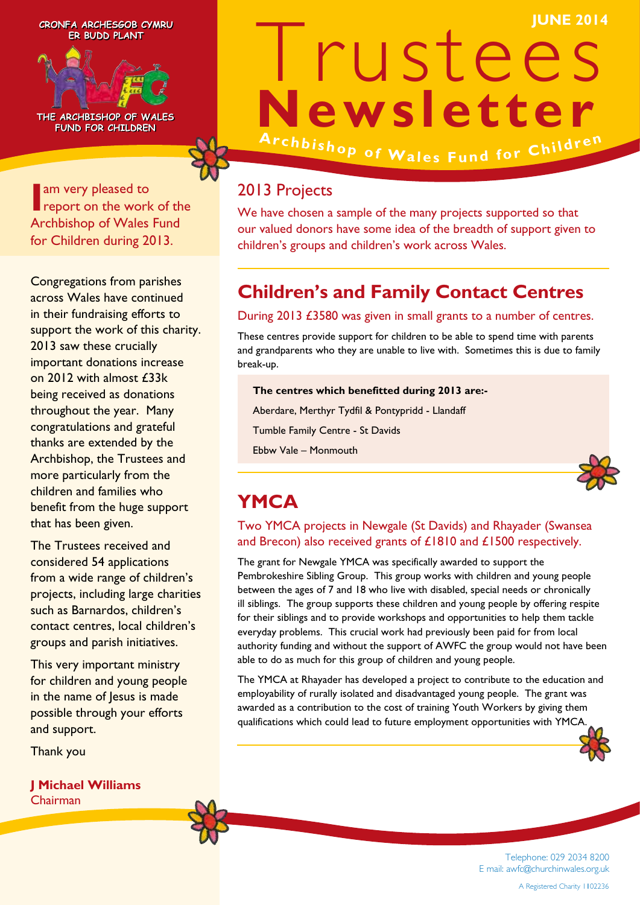**ER BUDD PLANT ER BUDD PLANT**



**THE ARCHBISHOP OF WALES THE ARCHBISHOP OF WALES FUND FOR CHILDREN FUND FOR CHILDREN**

**I** am very pleased to report on the work report on the work of the Archbishop of Wales Fund for Children during 2013.

Congregations from parishes across Wales have continued in their fundraising efforts to support the work of this charity. 2013 saw these crucially important donations increase on 2012 with almost £33k being received as donations throughout the year. Many congratulations and grateful thanks are extended by the Archbishop, the Trustees and more particularly from the children and families who benefit from the huge support that has been given.

The Trustees received and considered 54 applications from a wide range of children's projects, including large charities such as Barnardos, children's contact centres, local children's groups and parish initiatives.

This very important ministry for children and young people in the name of Jesus is made possible through your efforts and support.

Thank you

#### **J Michael Williams** Chairman

# Trustees **Newsletter CRONFA ARCHESGOB CYMRU JUNE 2014 CRONFA ARCHESGOB CYMRU**

Archbishop of Wales Fund for Children

#### 2013 Projects

We have chosen a sample of the many projects supported so that our valued donors have some idea of the breadth of support given to children's groups and children's work across Wales.

# **Children's and Family Contact Centres**

#### During 2013 £3580 was given in small grants to a number of centres.

These centres provide support for children to be able to spend time with parents and grandparents who they are unable to live with. Sometimes this is due to family break-up.

**The centres which benefitted during 2013 are:-**

Aberdare, Merthyr Tydfil & Pontypridd - Llandaff

Tumble Family Centre - St Davids

Ebbw Vale – Monmouth



# **YMCA**

#### Two YMCA projects in Newgale (St Davids) and Rhayader (Swansea and Brecon) also received grants of £1810 and £1500 respectively.

The grant for Newgale YMCA was specifically awarded to support the Pembrokeshire Sibling Group. This group works with children and young people between the ages of 7 and 18 who live with disabled, special needs or chronically ill siblings. The group supports these children and young people by offering respite for their siblings and to provide workshops and opportunities to help them tackle everyday problems. This crucial work had previously been paid for from local authority funding and without the support of AWFC the group would not have been able to do as much for this group of children and young people.

The YMCA at Rhayader has developed a project to contribute to the education and employability of rurally isolated and disadvantaged young people. The grant was awarded as a contribution to the cost of training Youth Workers by giving them qualifications which could lead to future employment opportunities with YMCA.



Telephone: 029 2034 8200 E mail: awfc@churchinwales.org.uk